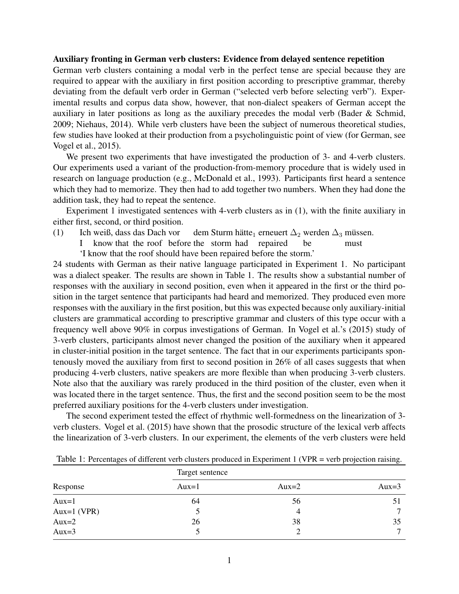## Auxiliary fronting in German verb clusters: Evidence from delayed sentence repetition

German verb clusters containing a modal verb in the perfect tense are special because they are required to appear with the auxiliary in first position according to prescriptive grammar, thereby deviating from the default verb order in German ("selected verb before selecting verb"). Experimental results and corpus data show, however, that non-dialect speakers of German accept the auxiliary in later positions as long as the auxiliary precedes the modal verb (Bader & Schmid, 2009; Niehaus, 2014). While verb clusters have been the subject of numerous theoretical studies, few studies have looked at their production from a psycholinguistic point of view (for German, see Vogel et al., 2015).

We present two experiments that have investigated the production of 3- and 4-verb clusters. Our experiments used a variant of the production-from-memory procedure that is widely used in research on language production (e.g., McDonald et al., 1993). Participants first heard a sentence which they had to memorize. They then had to add together two numbers. When they had done the addition task, they had to repeat the sentence.

Experiment 1 investigated sentences with 4-verb clusters as in (1), with the finite auxiliary in either first, second, or third position.

- (1) Ich weiß, dass das Dach vor dem Sturm hätte $_1$  erneuert  $\Delta_2$  werden  $\Delta_3$  müssen.
	- I know that the roof before the storm had repaired be must
	- 'I know that the roof should have been repaired before the storm.'

24 students with German as their native language participated in Experiment 1. No participant was a dialect speaker. The results are shown in Table 1. The results show a substantial number of responses with the auxiliary in second position, even when it appeared in the first or the third position in the target sentence that participants had heard and memorized. They produced even more responses with the auxiliary in the first position, but this was expected because only auxiliary-initial clusters are grammatical according to prescriptive grammar and clusters of this type occur with a frequency well above 90% in corpus investigations of German. In Vogel et al.'s (2015) study of 3-verb clusters, participants almost never changed the position of the auxiliary when it appeared in cluster-initial position in the target sentence. The fact that in our experiments participants spontenously moved the auxiliary from first to second position in 26% of all cases suggests that when producing 4-verb clusters, native speakers are more flexible than when producing 3-verb clusters. Note also that the auxiliary was rarely produced in the third position of the cluster, even when it was located there in the target sentence. Thus, the first and the second position seem to be the most preferred auxiliary positions for the 4-verb clusters under investigation.

The second experiment tested the effect of rhythmic well-formedness on the linearization of 3 verb clusters. Vogel et al. (2015) have shown that the prosodic structure of the lexical verb affects the linearization of 3-verb clusters. In our experiment, the elements of the verb clusters were held

| Response    | Target sentence |           |          |  |
|-------------|-----------------|-----------|----------|--|
|             | Aux= $1$        | Aux $=$ 2 | Aux= $3$ |  |
| $Aux=1$     | 64              | 56        |          |  |
| Aux=1 (VPR) |                 | 4         | ⇁        |  |
| Aux $=$ 2   | 26              | 38        | 35       |  |
| Aux= $3$    |                 |           |          |  |

Table 1: Percentages of different verb clusters produced in Experiment 1 (VPR = verb projection raising.